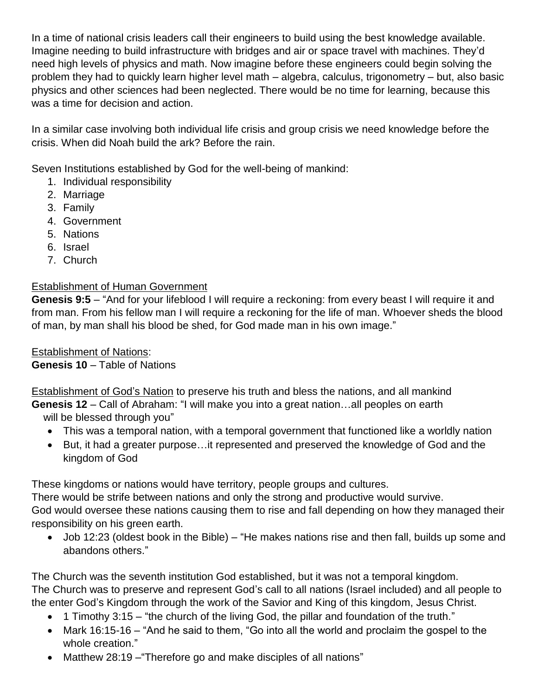In a time of national crisis leaders call their engineers to build using the best knowledge available. Imagine needing to build infrastructure with bridges and air or space travel with machines. They'd need high levels of physics and math. Now imagine before these engineers could begin solving the problem they had to quickly learn higher level math – algebra, calculus, trigonometry – but, also basic physics and other sciences had been neglected. There would be no time for learning, because this was a time for decision and action.

In a similar case involving both individual life crisis and group crisis we need knowledge before the crisis. When did Noah build the ark? Before the rain.

Seven Institutions established by God for the well-being of mankind:

- 1. Individual responsibility
- 2. Marriage
- 3. Family
- 4. Government
- 5. Nations
- 6. Israel
- 7. Church

## Establishment of Human Government

**Genesis 9:5** – "And for your lifeblood I will require a reckoning: from every beast I will require it and from man. From his fellow man I will require a reckoning for the life of man. Whoever sheds the blood of man, by man shall his blood be shed, for God made man in his own image."

Establishment of Nations: **Genesis 10** – Table of Nations

Establishment of God's Nation to preserve his truth and bless the nations, and all mankind **Genesis 12** – Call of Abraham: "I will make you into a great nation…all peoples on earth will be blessed through you"

- This was a temporal nation, with a temporal government that functioned like a worldly nation
- But, it had a greater purpose…it represented and preserved the knowledge of God and the kingdom of God

These kingdoms or nations would have territory, people groups and cultures.

There would be strife between nations and only the strong and productive would survive. God would oversee these nations causing them to rise and fall depending on how they managed their

responsibility on his green earth.

 Job 12:23 (oldest book in the Bible) – "He makes nations rise and then fall, builds up some and abandons others."

The Church was the seventh institution God established, but it was not a temporal kingdom. The Church was to preserve and represent God's call to all nations (Israel included) and all people to the enter God's Kingdom through the work of the Savior and King of this kingdom, Jesus Christ.

- 1 Timothy 3:15 "the church of the living God, the pillar and foundation of the truth."
- Mark 16:15-16 "And he said to them, "Go into all the world and proclaim the gospel to the whole creation."
- Matthew 28:19 "Therefore go and make disciples of all nations"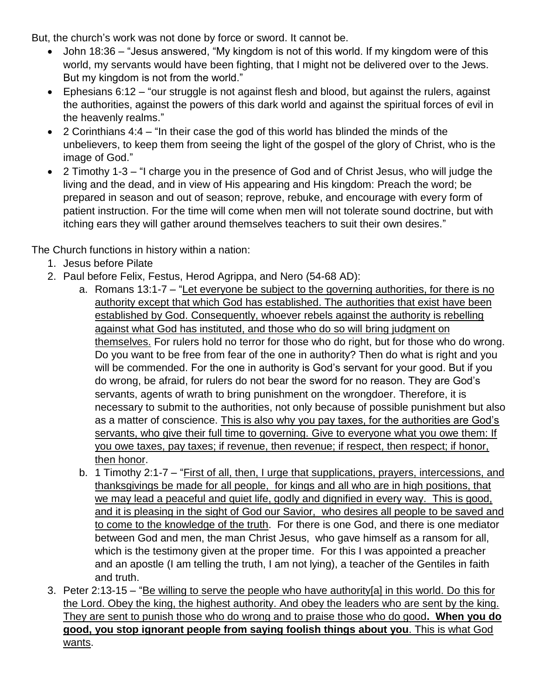But, the church's work was not done by force or sword. It cannot be.

- John 18:36 "Jesus answered, "My kingdom is not of this world. If my kingdom were of this world, my servants would have been fighting, that I might not be delivered over to the Jews. But my kingdom is not from the world."
- Ephesians 6:12 "our struggle is not against flesh and blood, but against the rulers, against the authorities, against the powers of this dark world and against the spiritual forces of evil in the heavenly realms."
- 2 Corinthians 4:4 "In their case the god of this world has blinded the minds of the unbelievers, to keep them from seeing the light of the gospel of the glory of Christ, who is the image of God."
- 2 Timothy 1-3 "I charge you in the presence of God and of Christ Jesus, who will judge the living and the dead, and in view of His appearing and His kingdom: Preach the word; be prepared in season and out of season; reprove, rebuke, and encourage with every form of patient instruction. For the time will come when men will not tolerate sound doctrine, but with itching ears they will gather around themselves teachers to suit their own desires."

The Church functions in history within a nation:

- 1. Jesus before Pilate
- 2. Paul before Felix, Festus, Herod Agrippa, and Nero (54-68 AD):
	- a. Romans 13:1-7 "Let everyone be subject to the governing authorities, for there is no authority except that which God has established. The authorities that exist have been established by God. Consequently, whoever rebels against the authority is rebelling against what God has instituted, and those who do so will bring judgment on themselves. For rulers hold no terror for those who do right, but for those who do wrong. Do you want to be free from fear of the one in authority? Then do what is right and you will be commended. For the one in authority is God's servant for your good. But if you do wrong, be afraid, for rulers do not bear the sword for no reason. They are God's servants, agents of wrath to bring punishment on the wrongdoer. Therefore, it is necessary to submit to the authorities, not only because of possible punishment but also as a matter of conscience. This is also why you pay taxes, for the authorities are God's servants, who give their full time to governing. Give to everyone what you owe them: If you owe taxes, pay taxes; if revenue, then revenue; if respect, then respect; if honor, then honor.
	- b. 1 Timothy 2:1-7 "First of all, then, I urge that supplications, prayers, intercessions, and thanksgivings be made for all people, for kings and all who are in high positions, that we may lead a peaceful and quiet life, godly and dignified in every way. This is good, and it is pleasing in the sight of God our Savior, who desires all people to be saved and to come to the knowledge of the truth. For there is one God, and there is one mediator between God and men, the man Christ Jesus, who gave himself as a ransom for all, which is the testimony given at the proper time. For this I was appointed a preacher and an apostle (I am telling the truth, I am not lying), a teacher of the Gentiles in faith and truth.
- 3. Peter 2:13-15 "Be willing to serve the people who have authority[a] in this world. Do this for the Lord. Obey the king, the highest authority. And obey the leaders who are sent by the king. They are sent to punish those who do wrong and to praise those who do good**. When you do good, you stop ignorant people from saying foolish things about you**. This is what God wants.